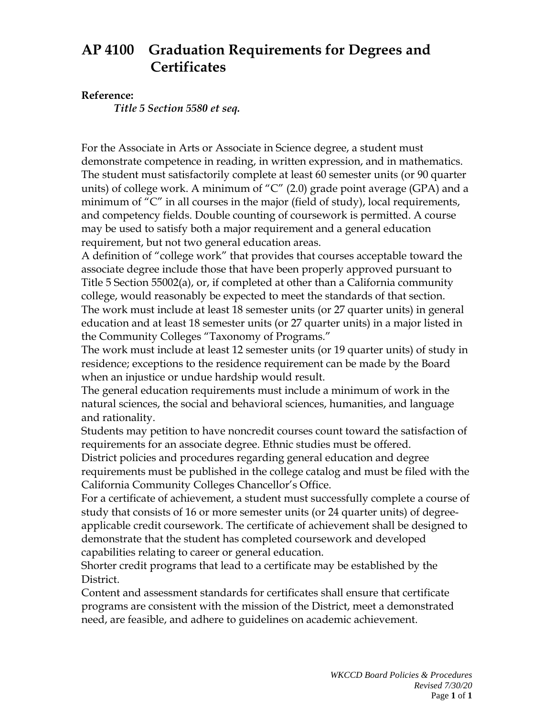## **AP 4100 Graduation Requirements for Degrees and Certificates**

## **Reference:**

*Title 5 Section 5580 et seq.*

For the Associate in Arts or Associate in Science degree, a student must demonstrate competence in reading, in written expression, and in mathematics. The student must satisfactorily complete at least 60 semester units (or 90 quarter units) of college work. A minimum of "C" (2.0) grade point average (GPA) and a minimum of "C" in all courses in the major (field of study), local requirements, and competency fields. Double counting of coursework is permitted. A course may be used to satisfy both a major requirement and a general education requirement, but not two general education areas.

A definition of "college work" that provides that courses acceptable toward the associate degree include those that have been properly approved pursuant to Title 5 Section 55002(a), or, if completed at other than a California community college, would reasonably be expected to meet the standards of that section. The work must include at least 18 semester units (or 27 quarter units) in general education and at least 18 semester units (or 27 quarter units) in a major listed in the Community Colleges "Taxonomy of Programs."

The work must include at least 12 semester units (or 19 quarter units) of study in residence; exceptions to the residence requirement can be made by the Board when an injustice or undue hardship would result.

The general education requirements must include a minimum of work in the natural sciences, the social and behavioral sciences, humanities, and language and rationality.

Students may petition to have noncredit courses count toward the satisfaction of requirements for an associate degree. Ethnic studies must be offered.

District policies and procedures regarding general education and degree requirements must be published in the college catalog and must be filed with the California Community Colleges Chancellor's Office.

For a certificate of achievement, a student must successfully complete a course of study that consists of 16 or more semester units (or 24 quarter units) of degreeapplicable credit coursework. The certificate of achievement shall be designed to demonstrate that the student has completed coursework and developed capabilities relating to career or general education.

Shorter credit programs that lead to a certificate may be established by the District.

Content and assessment standards for certificates shall ensure that certificate programs are consistent with the mission of the District, meet a demonstrated need, are feasible, and adhere to guidelines on academic achievement.